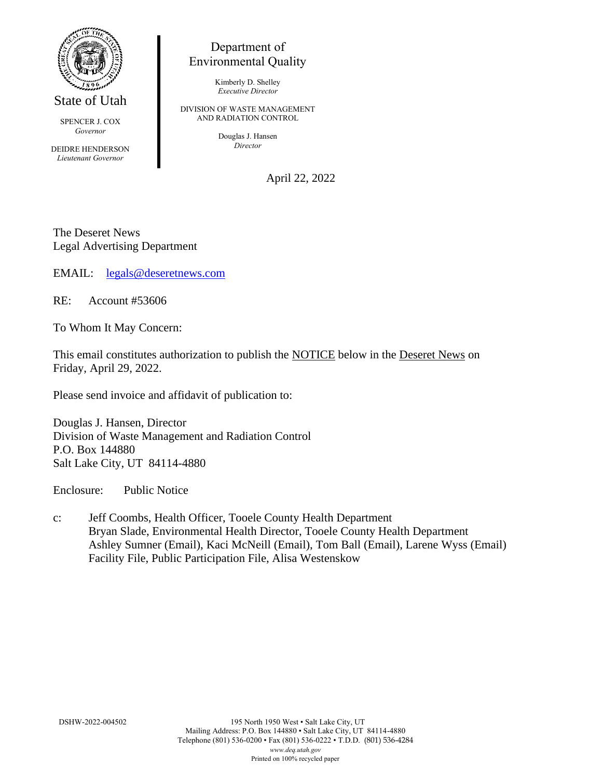

State of Utah

SPENCER J. COX *Governor*

DEIDRE HENDERSON *Lieutenant Governor*

## Department of Environmental Quality

Kimberly D. Shelley *Executive Director*

DIVISION OF WASTE MANAGEMENT AND RADIATION CONTROL

> Douglas J. Hansen *Director*

> > April 22, 2022

The Deseret News Legal Advertising Department

EMAIL: [legals@deseretnews.com](mailto:legals@deseretnews.com)

RE: Account #53606

To Whom It May Concern:

This email constitutes authorization to publish the NOTICE below in the Deseret News on Friday, April 29, 2022.

Please send invoice and affidavit of publication to:

Douglas J. Hansen, Director Division of Waste Management and Radiation Control P.O. Box 144880 Salt Lake City, UT 84114-4880

Enclosure: Public Notice

c: Jeff Coombs, Health Officer, Tooele County Health Department Bryan Slade, Environmental Health Director, Tooele County Health Department Ashley Sumner (Email), Kaci McNeill (Email), Tom Ball (Email), Larene Wyss (Email) Facility File, Public Participation File, Alisa Westenskow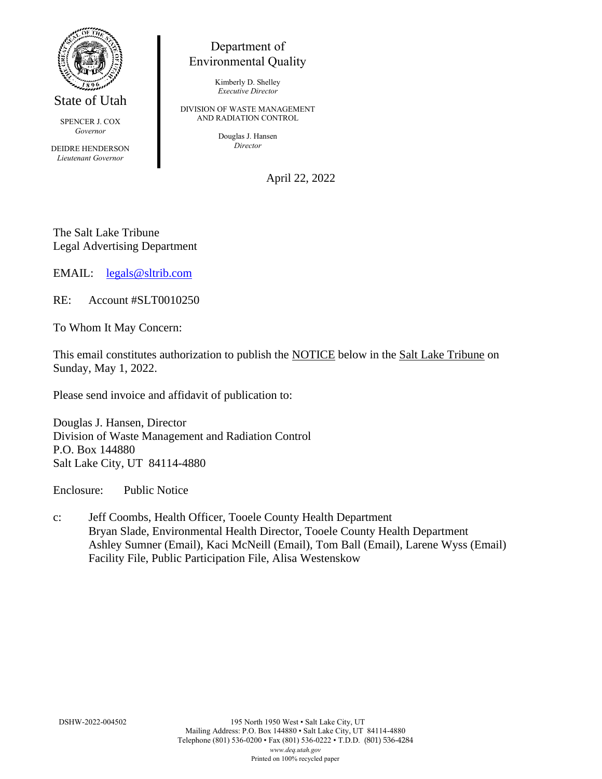

State of Utah

SPENCER J. COX *Governor*

DEIDRE HENDERSON *Lieutenant Governor*

## Department of Environmental Quality

Kimberly D. Shelley *Executive Director*

DIVISION OF WASTE MANAGEMENT AND RADIATION CONTROL

> Douglas J. Hansen *Director*

> > April 22, 2022

The Salt Lake Tribune Legal Advertising Department

EMAIL: [legals@sltrib.com](mailto:legals@sltrib.com)

RE: Account #SLT0010250

To Whom It May Concern:

This email constitutes authorization to publish the NOTICE below in the Salt Lake Tribune on Sunday, May 1, 2022.

Please send invoice and affidavit of publication to:

Douglas J. Hansen, Director Division of Waste Management and Radiation Control P.O. Box 144880 Salt Lake City, UT 84114-4880

Enclosure: Public Notice

c: Jeff Coombs, Health Officer, Tooele County Health Department Bryan Slade, Environmental Health Director, Tooele County Health Department Ashley Sumner (Email), Kaci McNeill (Email), Tom Ball (Email), Larene Wyss (Email) Facility File, Public Participation File, Alisa Westenskow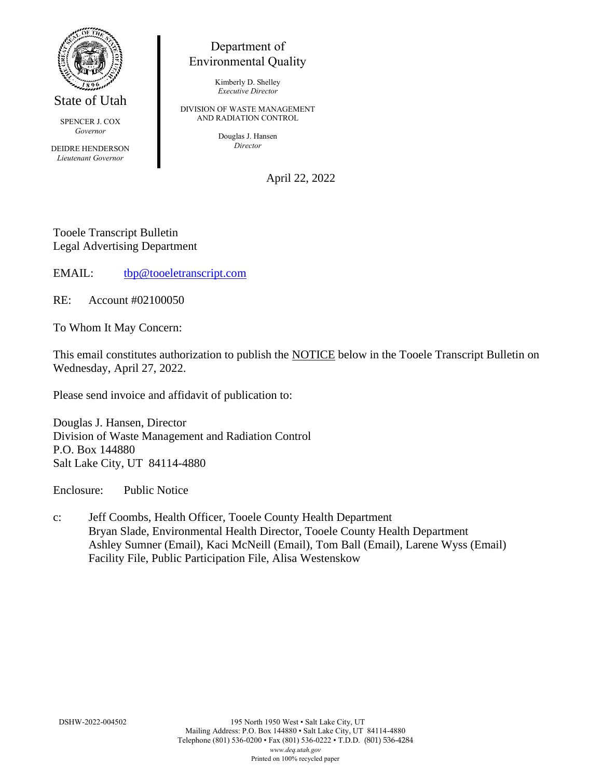

State of Utah

SPENCER J. COX *Governor*

DEIDRE HENDERSON *Lieutenant Governor*

## Department of Environmental Quality

Kimberly D. Shelley *Executive Director*

DIVISION OF WASTE MANAGEMENT AND RADIATION CONTROL

> Douglas J. Hansen *Director*

> > April 22, 2022

Tooele Transcript Bulletin Legal Advertising Department

EMAIL: [tbp@tooeletranscript.com](mailto:tbp@tooeletranscript.com)

RE: Account #02100050

To Whom It May Concern:

This email constitutes authorization to publish the NOTICE below in the Tooele Transcript Bulletin on Wednesday, April 27, 2022.

Please send invoice and affidavit of publication to:

Douglas J. Hansen, Director Division of Waste Management and Radiation Control P.O. Box 144880 Salt Lake City, UT 84114-4880

Enclosure: Public Notice

c: Jeff Coombs, Health Officer, Tooele County Health Department Bryan Slade, Environmental Health Director, Tooele County Health Department Ashley Sumner (Email), Kaci McNeill (Email), Tom Ball (Email), Larene Wyss (Email) Facility File, Public Participation File, Alisa Westenskow